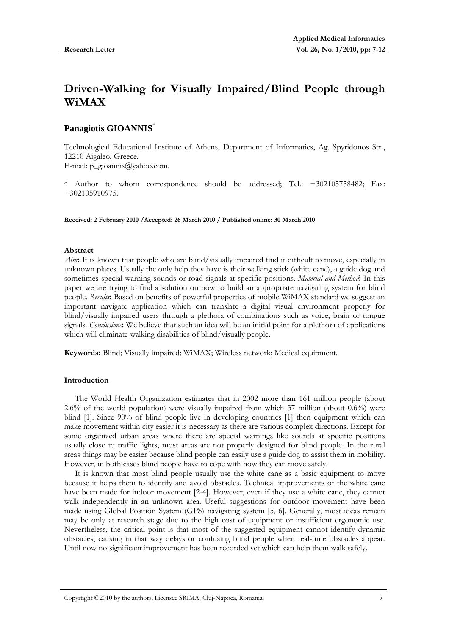# **Driven-Walking for Visually Impaired/Blind People through WiMAX**

# **Panagiotis GIOANNIS\***

Technological Educational Institute of Athens, Department of Informatics, Ag. Spyridonos Str., 12210 Aigaleo, Greece.

E-mail: p\_gioannis@yahoo.com.

\* Author to whom correspondence should be addressed; Tel.: +302105758482; Fax: +302105910975.

**Received: 2 February 2010 /Accepted: 26 March 2010 / Published online: 30 March 2010** 

### **Abstract**

*Aim***:** It is known that people who are blind/visually impaired find it difficult to move, especially in unknown places. Usually the only help they have is their walking stick (white cane), a guide dog and sometimes special warning sounds or road signals at specific positions. *Material and Method***:** In this paper we are trying to find a solution on how to build an appropriate navigating system for blind people. *Results***:** Based on benefits of powerful properties of mobile WiMAX standard we suggest an important navigate application which can translate a digital visual environment properly for blind/visually impaired users through a plethora of combinations such as voice, brain or tongue signals. *Conclusions***:** We believe that such an idea will be an initial point for a plethora of applications which will eliminate walking disabilities of blind/visually people.

**Keywords:** Blind; Visually impaired; WiMAX; Wireless network; Medical equipment.

# **Introduction**

The World Health Organization estimates that in 2002 more than 161 million people (about 2.6% of the world population) were visually impaired from which 37 million (about 0.6%) were blind [1]. Since 90% of blind people live in developing countries [1] then equipment which can make movement within city easier it is necessary as there are various complex directions. Except for some organized urban areas where there are special warnings like sounds at specific positions usually close to traffic lights, most areas are not properly designed for blind people. In the rural areas things may be easier because blind people can easily use a guide dog to assist them in mobility. However, in both cases blind people have to cope with how they can move safely.

It is known that most blind people usually use the white cane as a basic equipment to move because it helps them to identify and avoid obstacles. Technical improvements of the white cane have been made for indoor movement [2-4]. However, even if they use a white cane, they cannot walk independently in an unknown area. Useful suggestions for outdoor movement have been made using Global Position System (GPS) navigating system [5, 6]. Generally, most ideas remain may be only at research stage due to the high cost of equipment or insufficient ergonomic use. Nevertheless, the critical point is that most of the suggested equipment cannot identify dynamic obstacles, causing in that way delays or confusing blind people when real-time obstacles appear. Until now no significant improvement has been recorded yet which can help them walk safely.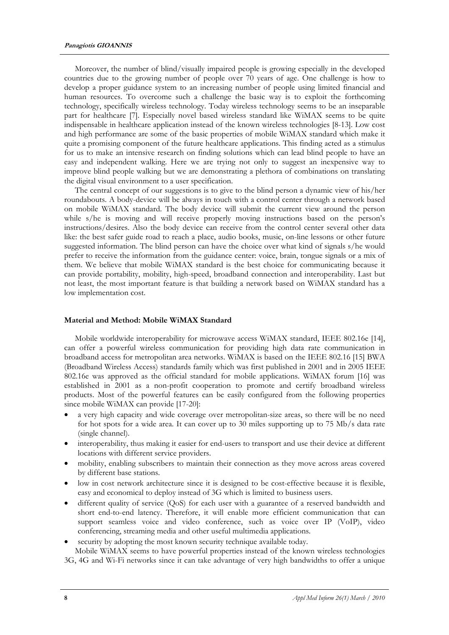Moreover, the number of blind/visually impaired people is growing especially in the developed countries due to the growing number of people over 70 years of age. One challenge is how to develop a proper guidance system to an increasing number of people using limited financial and human resources. To overcome such a challenge the basic way is to exploit the forthcoming technology, specifically wireless technology. Today wireless technology seems to be an inseparable part for healthcare [7]. Especially novel based wireless standard like WiMAX seems to be quite indispensable in healthcare application instead of the known wireless technologies [8-13]. Low cost and high performance are some of the basic properties of mobile WiMAX standard which make it quite a promising component of the future healthcare applications. This finding acted as a stimulus for us to make an intensive research on finding solutions which can lead blind people to have an easy and independent walking. Here we are trying not only to suggest an inexpensive way to improve blind people walking but we are demonstrating a plethora of combinations on translating the digital visual environment to a user specification.

The central concept of our suggestions is to give to the blind person a dynamic view of his/her roundabouts. A body-device will be always in touch with a control center through a network based on mobile WiMAX standard. The body device will submit the current view around the person while s/he is moving and will receive properly moving instructions based on the person's instructions/desires. Also the body device can receive from the control center several other data like: the best safer guide road to reach a place, audio books, music, on-line lessons or other future suggested information. The blind person can have the choice over what kind of signals s/he would prefer to receive the information from the guidance center: voice, brain, tongue signals or a mix of them. We believe that mobile WiMAX standard is the best choice for communicating because it can provide portability, mobility, high-speed, broadband connection and interoperability. Last but not least, the most important feature is that building a network based on WiMAX standard has a low implementation cost.

## **Material and Method: Mobile WiMAX Standard**

Mobile worldwide interoperability for microwave access WiMAX standard, IEEE 802.16e [14], can offer a powerful wireless communication for providing high data rate communication in broadband access for metropolitan area networks. WiMAX is based on the IEEE 802.16 [15] BWA (Broadband Wireless Access) standards family which was first published in 2001 and in 2005 IEEE 802.16e was approved as the official standard for mobile applications. WiMAX forum [16] was established in 2001 as a non-profit cooperation to promote and certify broadband wireless products. Most of the powerful features can be easily configured from the following properties since mobile WiMAX can provide [17-20]:

- a very high capacity and wide coverage over metropolitan-size areas, so there will be no need for hot spots for a wide area. It can cover up to 30 miles supporting up to 75 Mb/s data rate (single channel).
- interoperability, thus making it easier for end-users to transport and use their device at different locations with different service providers.
- mobility, enabling subscribers to maintain their connection as they move across areas covered by different base stations.
- low in cost network architecture since it is designed to be cost-effective because it is flexible, easy and economical to deploy instead of 3G which is limited to business users.
- different quality of service (QoS) for each user with a guarantee of a reserved bandwidth and short end-to-end latency. Therefore, it will enable more efficient communication that can support seamless voice and video conference, such as voice over IP (VoIP), video conferencing, streaming media and other useful multimedia applications.
- security by adopting the most known security technique available today. Mobile WiMAX seems to have powerful properties instead of the known wireless technologies

3G, 4G and Wi-Fi networks since it can take advantage of very high bandwidths to offer a unique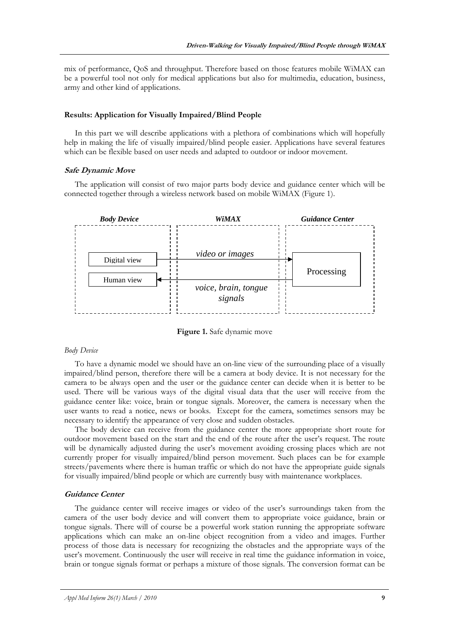mix of performance, QoS and throughput. Therefore based on those features mobile WiMAX can be a powerful tool not only for medical applications but also for multimedia, education, business, army and other kind of applications.

### **Results: Application for Visually Impaired/Blind People**

In this part we will describe applications with a plethora of combinations which will hopefully help in making the life of visually impaired/blind people easier. Applications have several features which can be flexible based on user needs and adapted to outdoor or indoor movement.

### **Safe Dynamic Move**

The application will consist of two major parts body device and guidance center which will be connected together through a wireless network based on mobile WiMAX (Figure 1).



**Figure 1.** Safe dynamic move

# *Body Device*

To have a dynamic model we should have an on-line view of the surrounding place of a visually impaired/blind person, therefore there will be a camera at body device. It is not necessary for the camera to be always open and the user or the guidance center can decide when it is better to be used. There will be various ways of the digital visual data that the user will receive from the guidance center like: voice, brain or tongue signals. Moreover, the camera is necessary when the user wants to read a notice, news or books. Except for the camera, sometimes sensors may be necessary to identify the appearance of very close and sudden obstacles.

The body device can receive from the guidance center the more appropriate short route for outdoor movement based on the start and the end of the route after the user's request. The route will be dynamically adjusted during the user's movement avoiding crossing places which are not currently proper for visually impaired/blind person movement. Such places can be for example streets/pavements where there is human traffic or which do not have the appropriate guide signals for visually impaired/blind people or which are currently busy with maintenance workplaces.

### **Guidance Center**

The guidance center will receive images or video of the user's surroundings taken from the camera of the user body device and will convert them to appropriate voice guidance, brain or tongue signals. There will of course be a powerful work station running the appropriate software applications which can make an on-line object recognition from a video and images. Further process of those data is necessary for recognizing the obstacles and the appropriate ways of the user's movement. Continuously the user will receive in real time the guidance information in voice, brain or tongue signals format or perhaps a mixture of those signals. The conversion format can be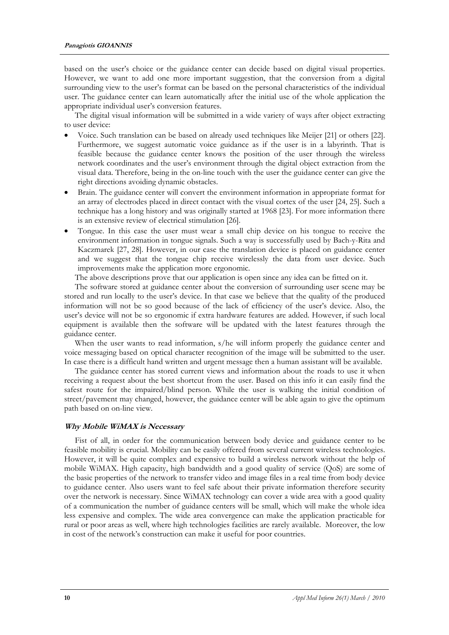based on the user's choice or the guidance center can decide based on digital visual properties. However, we want to add one more important suggestion, that the conversion from a digital surrounding view to the user's format can be based on the personal characteristics of the individual user. The guidance center can learn automatically after the initial use of the whole application the appropriate individual user's conversion features.

The digital visual information will be submitted in a wide variety of ways after object extracting to user device:

- Voice. Such translation can be based on already used techniques like Meijer [21] or others [22]. Furthermore, we suggest automatic voice guidance as if the user is in a labyrinth. That is feasible because the guidance center knows the position of the user through the wireless network coordinates and the user's environment through the digital object extraction from the visual data. Therefore, being in the on-line touch with the user the guidance center can give the right directions avoiding dynamic obstacles.
- Brain. The guidance center will convert the environment information in appropriate format for an array of electrodes placed in direct contact with the visual cortex of the user [24, 25]. Such a technique has a long history and was originally started at 1968 [23]. For more information there is an extensive review of electrical stimulation [26].
- Tongue. In this case the user must wear a small chip device on his tongue to receive the environment information in tongue signals. Such a way is successfully used by Bach-y-Rita and Kaczmarek [27, 28]. However, in our case the translation device is placed on guidance center and we suggest that the tongue chip receive wirelessly the data from user device. Such improvements make the application more ergonomic.

The above descriptions prove that our application is open since any idea can be fitted on it.

The software stored at guidance center about the conversion of surrounding user scene may be stored and run locally to the user's device. In that case we believe that the quality of the produced information will not be so good because of the lack of efficiency of the user's device. Also, the user's device will not be so ergonomic if extra hardware features are added. However, if such local equipment is available then the software will be updated with the latest features through the guidance center.

When the user wants to read information, s/he will inform properly the guidance center and voice messaging based on optical character recognition of the image will be submitted to the user. In case there is a difficult hand written and urgent message then a human assistant will be available.

The guidance center has stored current views and information about the roads to use it when receiving a request about the best shortcut from the user. Based on this info it can easily find the safest route for the impaired/blind person. While the user is walking the initial condition of street/pavement may changed, however, the guidance center will be able again to give the optimum path based on on-line view.

# **Why Mobile WiMAX is Necessary**

Fist of all, in order for the communication between body device and guidance center to be feasible mobility is crucial. Mobility can be easily offered from several current wireless technologies. However, it will be quite complex and expensive to build a wireless network without the help of mobile WiMAX. High capacity, high bandwidth and a good quality of service (QoS) are some of the basic properties of the network to transfer video and image files in a real time from body device to guidance center. Also users want to feel safe about their private information therefore security over the network is necessary. Since WiMAX technology can cover a wide area with a good quality of a communication the number of guidance centers will be small, which will make the whole idea less expensive and complex. The wide area convergence can make the application practicable for rural or poor areas as well, where high technologies facilities are rarely available. Moreover, the low in cost of the network's construction can make it useful for poor countries.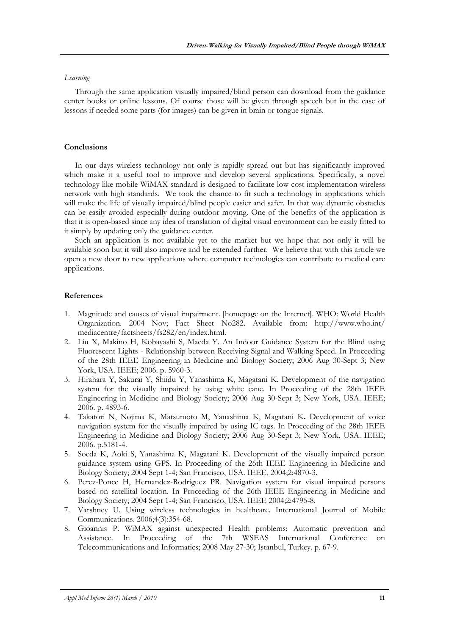### *Learning*

Through the same application visually impaired/blind person can download from the guidance center books or online lessons. Of course those will be given through speech but in the case of lessons if needed some parts (for images) can be given in brain or tongue signals.

# **Conclusions**

In our days wireless technology not only is rapidly spread out but has significantly improved which make it a useful tool to improve and develop several applications. Specifically, a novel technology like mobile WiMAX standard is designed to facilitate low cost implementation wireless network with high standards. We took the chance to fit such a technology in applications which will make the life of visually impaired/blind people easier and safer. In that way dynamic obstacles can be easily avoided especially during outdoor moving. One of the benefits of the application is that it is open-based since any idea of translation of digital visual environment can be easily fitted to it simply by updating only the guidance center.

Such an application is not available yet to the market but we hope that not only it will be available soon but it will also improve and be extended further. We believe that with this article we open a new door to new applications where computer technologies can contribute to medical care applications.

### **References**

- 1. Magnitude and causes of visual impairment. [homepage on the Internet]. WHO: World Health Organization. 2004 Nov; Fact Sheet No282. Available from: http://www.who.int/ mediacentre/factsheets/fs282/en/index.html.
- 2. Liu X, Makino H, Kobayashi S, Maeda Y. An Indoor Guidance System for the Blind using Fluorescent Lights - Relationship between Receiving Signal and Walking Speed. In Proceeding of the 28th IEEE Engineering in Medicine and Biology Society; 2006 Aug 30-Sept 3; New York, USA. IEEE; 2006. p. 5960-3.
- 3. Hirahara Y, Sakurai Y, Shiidu Y, Yanashima K, Magatani K. Development of the navigation system for the visually impaired by using white cane. In Proceeding of the 28th IEEE Engineering in Medicine and Biology Society; 2006 Aug 30-Sept 3; New York, USA. IEEE; 2006. p. 4893-6.
- 4. Takatori N, Nojima K, Matsumoto M, Yanashima K, Magatani K**.** Development of voice navigation system for the visually impaired by using IC tags. In Proceeding of the 28th IEEE Engineering in Medicine and Biology Society; 2006 Aug 30-Sept 3; New York, USA. IEEE; 2006. p.5181-4.
- 5. Soeda K, Aoki S, Yanashima K, Magatani K. Development of the visually impaired person guidance system using GPS. In Proceeding of the 26th IEEE Engineering in Medicine and Biology Society; 2004 Sept 1-4; San Francisco, USA. IEEE, 2004;2:4870-3.
- 6. Perez-Ponce H, Hernandez-Rodriguez PR. Navigation system for visual impaired persons based on satellital location. In Proceeding of the 26th IEEE Engineering in Medicine and Biology Society; 2004 Sept 1-4; San Francisco, USA. IEEE 2004;2:4795-8.
- 7. Varshney U. Using wireless technologies in healthcare. International Journal of Mobile Communications. 2006;4(3):354-68.
- 8. Gioannis P. WiMAX against unexpected Health problems: Automatic prevention and Assistance. In Proceeding of the 7th WSEAS International Conference on Telecommunications and Informatics; 2008 May 27-30; Istanbul, Turkey. p. 67-9.